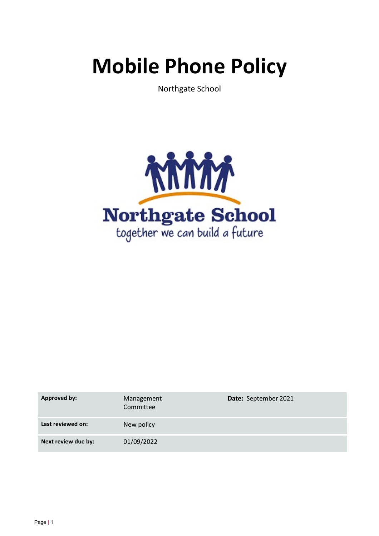# **Mobile Phone Policy**

Northgate School



| <b>Approved by:</b> | Management<br>Committee | Date: September 2021 |
|---------------------|-------------------------|----------------------|
| Last reviewed on:   | New policy              |                      |
| Next review due by: | 01/09/2022              |                      |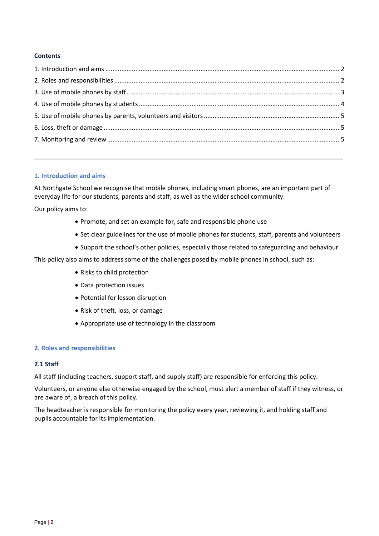# **Contents**

## **1. Introduction and aims**

At Northgate School we recognise that mobile phones, including smart phones, are an important part of everyday life for our students, parents and staff, as well as the wider school community.

Our policy aims to:

- Promote, and set an example for, safe and responsible phone use
- Set clear guidelines for the use of mobile phones for students, staff, parents and volunteers
- Support the school's other policies, especially those related to safeguarding and behaviour

This policy also aims to address some of the challenges posed by mobile phones in school, such as:

- Risks to child protection
- Data protection issues
- Potential for lesson disruption
- Risk of theft, loss, or damage
- Appropriate use of technology in the classroom

#### **2. Roles and responsibilities**

#### **2.1 Staff**

All staff (including teachers, support staff, and supply staff) are responsible for enforcing this policy.

Volunteers, or anyone else otherwise engaged by the school, must alert a member of staff if they witness, or are aware of, a breach of this policy.

The headteacher is responsible for monitoring the policy every year, reviewing it, and holding staff and pupils accountable for its implementation.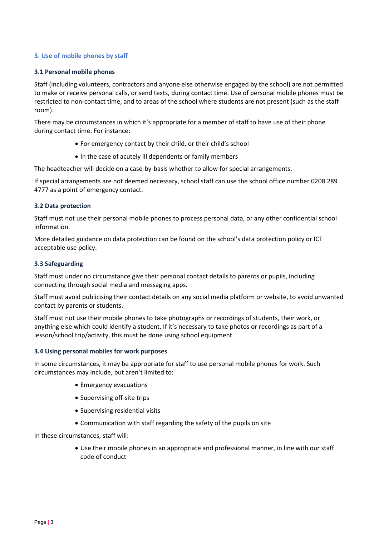# **3. Use of mobile phones by staff**

## **3.1 Personal mobile phones**

Staff (including volunteers, contractors and anyone else otherwise engaged by the school) are not permitted to make or receive personal calls, or send texts, during contact time. Use of personal mobile phones must be restricted to non-contact time, and to areas of the school where students are not present (such as the staff room).

There may be circumstances in which it's appropriate for a member of staff to have use of their phone during contact time. For instance:

- For emergency contact by their child, or their child's school
- In the case of acutely ill dependents or family members

The headteacher will decide on a case-by-basis whether to allow for special arrangements.

If special arrangements are not deemed necessary, school staff can use the school office number 0208 289 4777 as a point of emergency contact.

## **3.2 Data protection**

Staff must not use their personal mobile phones to process personal data, or any other confidential school information.

More detailed guidance on data protection can be found on the school's data protection policy or ICT acceptable use policy.

## **3.3 Safeguarding**

Staff must under no circumstance give their personal contact details to parents or pupils, including connecting through social media and messaging apps.

Staff must avoid publicising their contact details on any social media platform or website, to avoid unwanted contact by parents or students.

Staff must not use their mobile phones to take photographs or recordings of students, their work, or anything else which could identify a student. If it's necessary to take photos or recordings as part of a lesson/school trip/activity, this must be done using school equipment.

#### **3.4 Using personal mobiles for work purposes**

In some circumstances, it may be appropriate for staff to use personal mobile phones for work. Such circumstances may include, but aren't limited to:

- Emergency evacuations
- Supervising off-site trips
- Supervising residential visits
- Communication with staff regarding the safety of the pupils on site

In these circumstances, staff will:

• Use their mobile phones in an appropriate and professional manner, in line with our staff code of conduct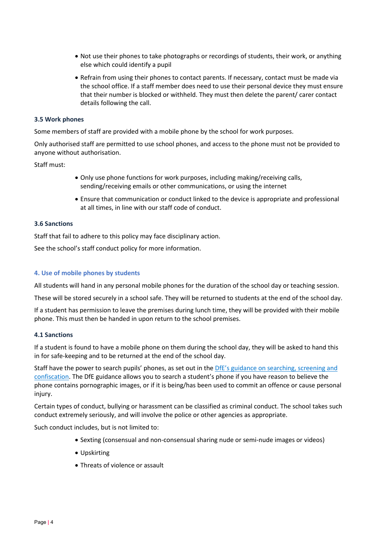- Not use their phones to take photographs or recordings of students, their work, or anything else which could identify a pupil
- Refrain from using their phones to contact parents. If necessary, contact must be made via the school office. If a staff member does need to use their personal device they must ensure that their number is blocked or withheld. They must then delete the parent/ carer contact details following the call.

## **3.5 Work phones**

Some members of staff are provided with a mobile phone by the school for work purposes.

Only authorised staff are permitted to use school phones, and access to the phone must not be provided to anyone without authorisation.

Staff must:

- Only use phone functions for work purposes, including making/receiving calls, sending/receiving emails or other communications, or using the internet
- Ensure that communication or conduct linked to the device is appropriate and professional at all times, in line with our staff code of conduct.

## **3.6 Sanctions**

Staff that fail to adhere to this policy may face disciplinary action.

See the school's staff conduct policy for more information.

## **4. Use of mobile phones by students**

All students will hand in any personal mobile phones for the duration of the school day or teaching session.

These will be stored securely in a school safe. They will be returned to students at the end of the school day.

If a student has permission to leave the premises during lunch time, they will be provided with their mobile phone. This must then be handed in upon return to the school premises.

## **4.1 Sanctions**

If a student is found to have a mobile phone on them during the school day, they will be asked to hand this in for safe-keeping and to be returned at the end of the school day.

Staff have the power to search pupils' phones, as set out in the [DfE's guidance on searching, screening and](https://www.gov.uk/government/publications/searching-screening-and-confiscation)  [confiscation.](https://www.gov.uk/government/publications/searching-screening-and-confiscation) The DfE guidance allows you to search a student's phone if you have reason to believe the phone contains pornographic images, or if it is being/has been used to commit an offence or cause personal injury.

Certain types of conduct, bullying or harassment can be classified as criminal conduct. The school takes such conduct extremely seriously, and will involve the police or other agencies as appropriate.

Such conduct includes, but is not limited to:

- Sexting (consensual and non-consensual sharing nude or semi-nude images or videos)
- Upskirting
- Threats of violence or assault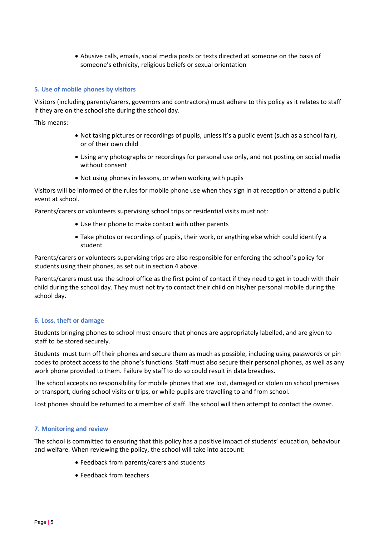• Abusive calls, emails, social media posts or texts directed at someone on the basis of someone's ethnicity, religious beliefs or sexual orientation

# **5. Use of mobile phones by visitors**

Visitors (including parents/carers, governors and contractors) must adhere to this policy as it relates to staff if they are on the school site during the school day.

This means:

- Not taking pictures or recordings of pupils, unless it's a public event (such as a school fair), or of their own child
- Using any photographs or recordings for personal use only, and not posting on social media without consent
- Not using phones in lessons, or when working with pupils

Visitors will be informed of the rules for mobile phone use when they sign in at reception or attend a public event at school.

Parents/carers or volunteers supervising school trips or residential visits must not:

- Use their phone to make contact with other parents
- Take photos or recordings of pupils, their work, or anything else which could identify a student

Parents/carers or volunteers supervising trips are also responsible for enforcing the school's policy for students using their phones, as set out in section 4 above.

Parents/carers must use the school office as the first point of contact if they need to get in touch with their child during the school day. They must not try to contact their child on his/her personal mobile during the school day.

## **6. Loss, theft or damage**

Students bringing phones to school must ensure that phones are appropriately labelled, and are given to staff to be stored securely.

Students must turn off their phones and secure them as much as possible, including using passwords or pin codes to protect access to the phone's functions. Staff must also secure their personal phones, as well as any work phone provided to them. Failure by staff to do so could result in data breaches.

The school accepts no responsibility for mobile phones that are lost, damaged or stolen on school premises or transport, during school visits or trips, or while pupils are travelling to and from school.

Lost phones should be returned to a member of staff. The school will then attempt to contact the owner.

#### **7. Monitoring and review**

The school is committed to ensuring that this policy has a positive impact of students' education, behaviour and welfare. When reviewing the policy, the school will take into account:

- Feedback from parents/carers and students
- Feedback from teachers